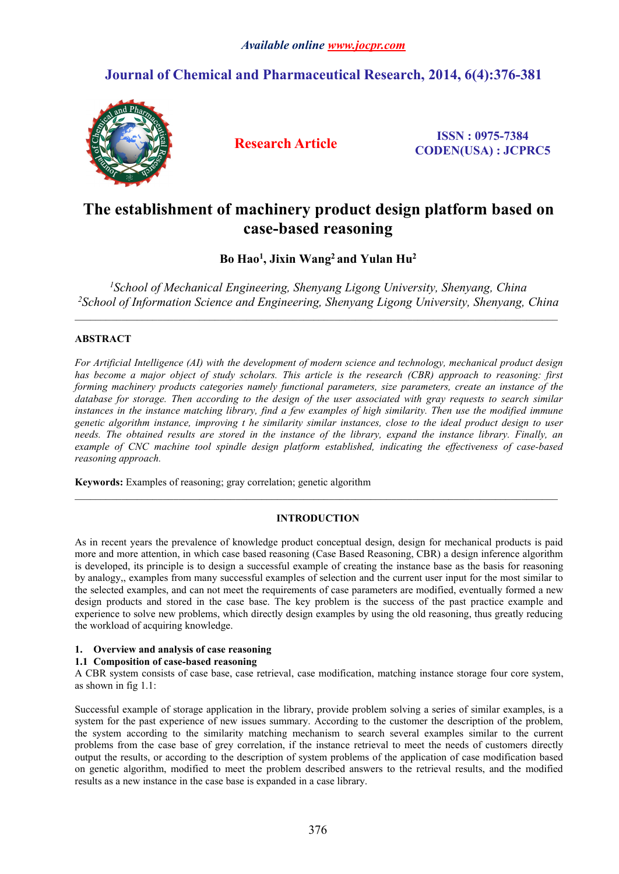## **Journal of Chemical and Pharmaceutical Research, 2014, 6(4):376-381**



**Research Article ISSN : 0975-7384 CODEN(USA) : JCPRC5**

# **The establishment of machinery product design platform based on case-based reasoning**

**Bo Hao<sup>1</sup> , Jixin Wang<sup>2</sup> and Yulan Hu<sup>2</sup>**

*<sup>1</sup>School of Mechanical Engineering, Shenyang Ligong University, Shenyang, China <sup>2</sup>School of Information Science and Engineering, Shenyang Ligong University, Shenyang, China*

 $\_$  , and the state of the state of the state of the state of the state of the state of the state of the state of the state of the state of the state of the state of the state of the state of the state of the state of the

## **ABSTRACT**

*For Artificial Intelligence (AI) with the development of modern science and technology, mechanical product design* has become a major object of study scholars. This article is the research (CBR) approach to reasoning: first *forming machinery products categories namely functional parameters, size parameters, create an instance of the* database for storage. Then according to the design of the user associated with gray requests to search similar instances in the instance matching library, find a few examples of high similarity. Then use the modified immune genetic algorithm instance, improving t he similarity similar instances, close to the ideal product design to user needs. The obtained results are stored in the instance of the library, expand the instance library. Finally, an *example of CNC machine tool spindle design platform established, indicating the effectiveness of case-based reasoning approach.*

**Keywords:** Examples of reasoning; gray correlation; genetic algorithm

## **INTRODUCTION**

As in recent years the prevalence of knowledge product conceptual design, design for mechanical products is paid more and more attention, in which case based reasoning (Case Based Reasoning, CBR) a design inference algorithm is developed, its principle isto design a successful example of creating the instance base as the basis for reasoning by analogy,, examples from many successful examples of selection and the currentuser input for the most similar to the selected examples, and can not meet the requirements of case parameters are modified, eventually formed a new design products and stored in the case base. The key problem is the success of the past practice example and experience to solve new problems, which directly design examples by using the old reasoning, thus greatly reducing the workload of acquiring knowledge.

## 1. Overview and analysis of case reasoning

## **1.1 Composition of case-based reasoning**

A CBR system consists of case base, case retrieval, case modification, matching instance storage four core system, as shown in fig 1.1:

Successful example of storage application in the library, provide problem solving a series of similar examples, is a system for the past experience of new issues summary. According to the customer the description of the problem, the system according to the similarity matching mechanism to search several examples similar to the current problems from the case base of grey correlation, if the instance retrieval to meet the needs of customers directly output the results, or according to the description of system problems of the application of case modification based on genetic algorithm, modified to meet the problem described answers to the retrieval results, and the modified results as a new instance in the case base is expanded in a case library.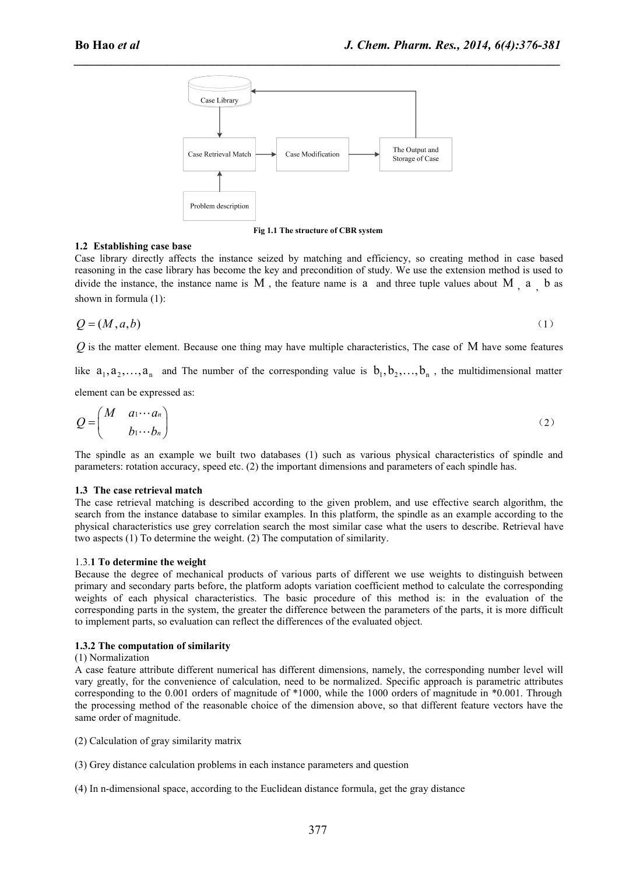*\_\_\_\_\_\_\_\_\_\_\_\_\_\_\_\_\_\_\_\_\_\_\_\_\_\_\_\_\_\_\_\_\_\_\_\_\_\_\_\_\_\_\_\_\_\_\_\_\_\_\_\_\_\_\_\_\_\_\_\_\_\_\_\_\_\_\_\_\_\_\_\_\_\_\_\_\_\_*



**Fig 1.1 The structure of CBR system**

#### **1.2 Establishing case base**

Case library directly affects the instance seized by matching and efficiency, so creating method in case based reasoning in the case library has become the key and precondition of study. We use the extension method is used to divide the instance, the instance name is  $M$ , the feature name is a and three tuple values about  $M_1$ , a  $\bar{b}$  as shown in formula (1):

$$
Q = (M, a, b) \tag{1}
$$

*Q* is the matter element. Because one thing may have multiple characteristics, The case of M have some features

element can be expressed as:

$$
Q = \begin{pmatrix} M & a_1 \cdots a_n \\ b_1 \cdots b_n \end{pmatrix} \tag{2}
$$

The spindle as an example we built two databases (1) such as various physical characteristics of spindle and parameters: rotation accuracy, speed etc. (2) the important dimensions and parameters of each spindle has.

#### **1.3 The case retrieval match**

The case retrieval matching is described according to the given problem, and use effective search algorithm, the search from the instance database to similar examples. In this platform, the spindle as an example according to the physical characteristics use grey correlation search the most similar case what the users to describe. Retrieval have two aspects (1) To determine the weight. (2) The computation of similarity.

#### 1.3.**1 To determine the weight**

Because the degree of mechanical products of various parts of different we use weights to distinguish between primary and secondary parts before, the platform adopts variation coefficient method to calculate the corresponding weights of each physical characteristics. The basic procedure of this method is: in the evaluation of the corresponding parts in the system, the greater the difference between the parameters of the parts, it is more difficult to implement parts, so evaluation can reflect the differences of the evaluated object.

#### **1.3.2 The computation of similarity**

#### (1) Normalization

A case feature attribute different numerical has different dimensions, namely, the corresponding number level will vary greatly, for the convenience of calculation, need to be normalized. Specific approach is parametric attributes corresponding to the 0.001 orders of magnitude of \*1000, while the 1000 orders of magnitude in \*0.001. Through the processing method of the reasonable choice of the dimension above, so that different feature vectors have the same order of magnitude.

(2) Calculation of gray similarity matrix

- (3) Grey distance calculation problems in each instance parameters and question
- (4) In n-dimensional space, according to the Euclidean distance formula,get the gray distance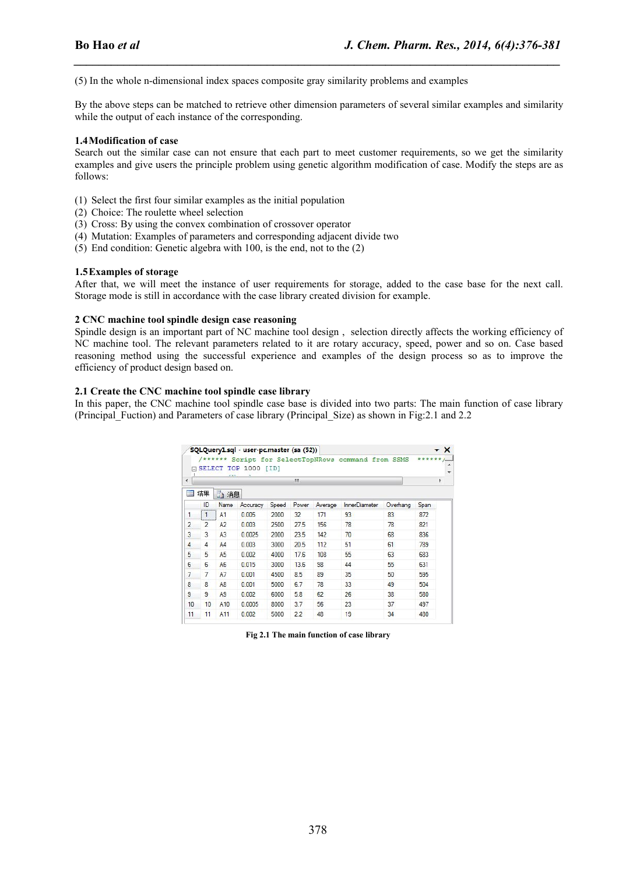(5) In the whole n-dimensional index spaces composite gray similarity problems and examples

By the above steps can be matched to retrieve other dimension parameters of several similar examples and similarity while the output of each instance of the corresponding.

*\_\_\_\_\_\_\_\_\_\_\_\_\_\_\_\_\_\_\_\_\_\_\_\_\_\_\_\_\_\_\_\_\_\_\_\_\_\_\_\_\_\_\_\_\_\_\_\_\_\_\_\_\_\_\_\_\_\_\_\_\_\_\_\_\_\_\_\_\_\_\_\_\_\_\_\_\_\_*

#### **1.4Modification of case**

Search out the similar case can not ensure that each part to meet customer requirements, so we get the similarity examples and give users the principle problem using genetic algorithm modification of case. Modify the steps are as follows:

- (1) Select the first four similar examples as the initial population
- (2) Choice: The roulette wheel selection
- (3) Cross: By using the convex combination of crossover operator
- (4) Mutation: Examples of parameters and corresponding adjacent divide two
- (5) End condition: Genetic algebra with 100, is the end, not to the (2)

#### **1.5Examples** of storage

After that, we will meet the instance of user requirements for storage, added to the case base for the next call. Storage mode is still in accordance with the case library created division for example.

#### **2 CNC machine tool spindle design case reasoning**

Spindle design is an important part of NC machine tool design, selection directly affects the working efficiency of NC machine tool. The relevant parameters related to it are rotary accuracy, speed, power and so on. Case based reasoning method using the successful experience and examples of the design process so as to improve the efficiency of product design based on.

#### **2.1 Create the CNC machine tool spindle case library**

In this paper, the CNC machine tool spindle case base is divided into two parts: The main function of case library (Principal\_Fuction) and Parameters ofcase library (Principal\_Size) as shown in Fig:2.1 and 2.2

|    | <b>SELECT</b>     | $-1$           | <b>TOP 1000</b> | [ID]  |       |         |                      |          |      |  |  |  |  |  |
|----|-------------------|----------------|-----------------|-------|-------|---------|----------------------|----------|------|--|--|--|--|--|
| ∢  | m.                |                |                 |       |       |         |                      |          |      |  |  |  |  |  |
| 諨  | 结果                | 面消息            |                 |       |       |         |                      |          |      |  |  |  |  |  |
|    | ID<br>            | Name           | Accuracy        | Speed | Power | Average | <b>InnerDiameter</b> | Overhang | Span |  |  |  |  |  |
| 1  | 1<br>,,,,,,,,,,,, | A <sub>1</sub> | 0.005           | 2000  | 32    | 171     | 93                   | 83       | 872  |  |  |  |  |  |
| 2  | $\overline{2}$    | A <sub>2</sub> | 0.003           | 2500  | 27.5  | 156     | 78                   | 78       | 821  |  |  |  |  |  |
| 3  | 3                 | A <sub>3</sub> | 0.0025          | 2000  | 23.5  | 142     | 70                   | 68       | 836  |  |  |  |  |  |
| 4  | 4                 | A <sub>4</sub> | 0.003           | 3000  | 20.5  | 112     | 51                   | 61       | 789  |  |  |  |  |  |
| 5  | 5                 | A <sub>5</sub> | 0.002           | 4000  | 17.6  | 108     | 55                   | 63       | 683  |  |  |  |  |  |
| 6  | 6                 | A <sub>6</sub> | 0.015           | 3000  | 13.6  | 98      | 44                   | 55       | 631  |  |  |  |  |  |
| 7  | 7                 | A7             | 0.001           | 4500  | 8.5   | 89      | 35                   | 50       | 595  |  |  |  |  |  |
| 8  | 8                 | A8             | 0.001           | 5000  | 6.7   | 78      | 33                   | 49       | 504  |  |  |  |  |  |
| 9  | 9                 | A <sub>9</sub> | 0.002           | 6000  | 5.8   | 62      | 26                   | 38       | 580  |  |  |  |  |  |
| 10 | 10                | A10            | 0.0005          | 8000  | 3.7   | 56      | 23                   | 37       | 497  |  |  |  |  |  |
| 11 | 11                | A11            | 0.002           | 5000  | 2.2   | 48      | 19                   | 34       | 480  |  |  |  |  |  |

**Fig 2.1 The main function of case library**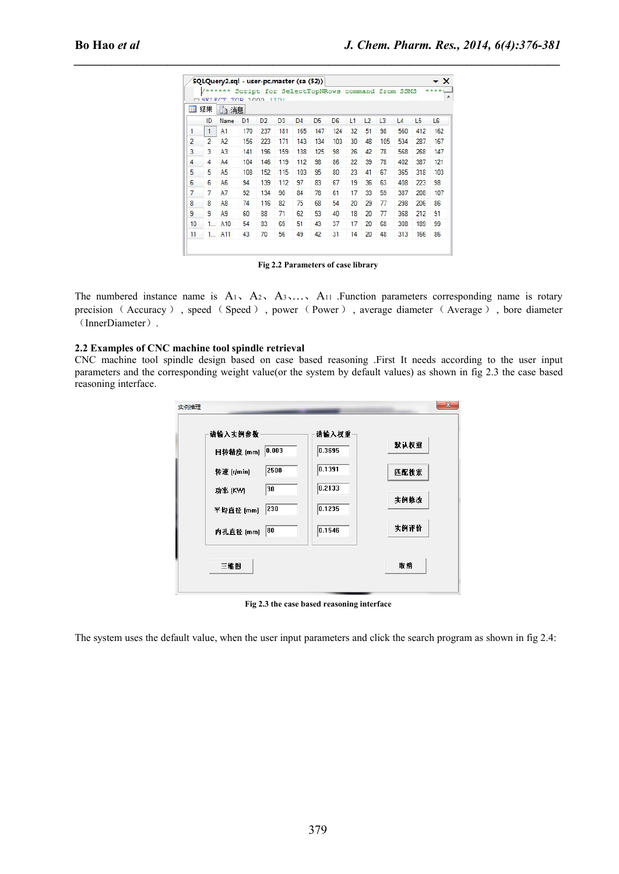|                |                     |                                                     |       |                               |                                    |                |                |                |          |                |    |            |               | J. Chem. Pharm. Res., 2014, 6(4):376-381 |
|----------------|---------------------|-----------------------------------------------------|-------|-------------------------------|------------------------------------|----------------|----------------|----------------|----------|----------------|----|------------|---------------|------------------------------------------|
|                |                     | SQLQuery2.sql - user-pc.master (sa (52))            |       |                               |                                    |                |                |                |          |                |    |            |               | $\mathbf{v} \times$                      |
|                |                     | /****** Script for SelectTopNRows command from SSMS |       |                               |                                    |                |                |                |          |                |    |            |               |                                          |
|                | 国 结果                | CRIECT TOP 1000 ITDI<br>面消息                         |       |                               |                                    |                |                |                |          |                |    |            |               |                                          |
|                |                     | ID Name D1                                          |       | D <sub>2</sub> D <sub>3</sub> |                                    | D <sub>4</sub> | D <sub>5</sub> | D <sub>6</sub> |          | $L1$ $L2$ $L3$ |    | L4         | L5            | L <sub>6</sub>                           |
|                | $\blacksquare$      | A1                                                  |       | 170 237 181                   |                                    | 165            | 147            | 124            | 32       | 51 98          |    | 560        | 412           | 162                                      |
| $\overline{2}$ | $2^{\circ}$         | A2                                                  |       | 156 223                       | 171 143                            |                | 134            | 103            | 30       | 48 105         |    | 534        | 287           | 167                                      |
| 3              | 3                   | A3                                                  |       | 141 196                       | 159                                | 138            | 125            | 98             | 26       | 42 78          |    | 568        | 268           | 147                                      |
| 4              | 4                   | A4                                                  | 104   | 146                           | 119                                | 112            | 98             | 86             | 22       | 39 78          |    | 402        | 387           | 121                                      |
| 5              | 5                   | A <sub>5</sub>                                      | 108   | 152                           | 115                                | 103            | 95             | 80             | 23       | 41 67          |    | 365        | 318           | 103                                      |
| 6              | 6                   | A <sub>6</sub>                                      | 94    | 139                           | 112                                | 97             | 83             | 67             | 19       | 36             | 63 | 408        | 223           | 98                                       |
|                | 7                   | A7<br>A <sub>8</sub>                                | 92    | 134<br>74 116                 | 90<br>82                           | 84             | 78             | 61             |          | 17 33 59       |    | 387        | 208           | 107                                      |
|                | 8<br>$\overline{9}$ | A <sub>9</sub>                                      | 60    | 88                            | 71                                 | 75<br>62       | 68<br>53       | 54<br>40       | 20<br>18 | 29 77<br>20 77 |    | 298<br>368 | 206<br>212 91 | 86                                       |
| 10             |                     | 1 A10                                               | 54 83 |                               | 69                                 | 51             | 43             | 37             |          | 17 20 68       |    | 308        | 189           | 99                                       |
|                |                     | $11 \quad 1 \quad A11$                              |       | 43 70                         | 56                                 | 49             | 42             | 31 14 20 48    |          |                |    |            | 313 166 86    |                                          |
|                |                     |                                                     |       |                               |                                    |                |                |                |          |                |    |            |               |                                          |
|                |                     |                                                     |       |                               | Fig 2.2 Parameters of case library |                |                |                |          |                |    |            |               |                                          |
|                |                     |                                                     |       |                               |                                    |                |                |                |          |                |    |            |               |                                          |

**Fig 2.2 Parameters of case library** 

### **2.2 Examples ofCNC machine tool spindle retrieval**

CNC machine tool spindle design based on case based reasoning .First It needs according to the user input parameters and the corresponding weight value(or the system by default values) as shown in fig 2.3 the case based reasoning interface.

| 请输入实例参数             | 请输入权重  |      |
|---------------------|--------|------|
| 0.003 <br>回转精度 [mm] | 0.3695 | 默认权重 |
| 2500<br>转速 [r/min]  | 0.1391 | 匹配搜索 |
| 30<br>功率 (KW)       | 0.2133 |      |
| 230<br>平均直径 [mm]    | 0.1235 | 实例修改 |
| 80<br>内孔直径 [mm]     | 0.1546 | 实例评价 |
| 三维图                 |        | 取消   |

**Fig 2.3 the case based reasoning interface**

The system uses the default value, when the user input parameters and click the search program as shown in fig 2.4: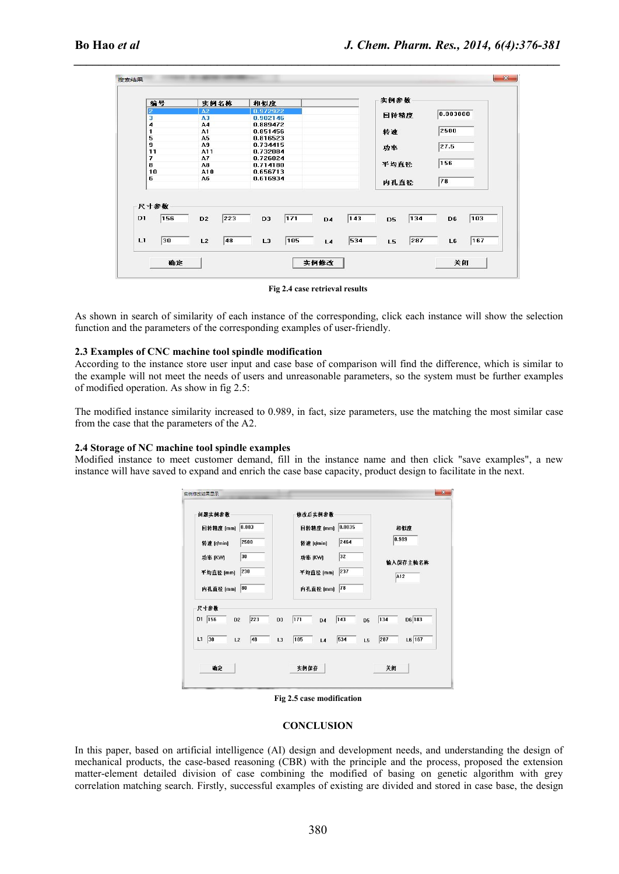*\_\_\_\_\_\_\_\_\_\_\_\_\_\_\_\_\_\_\_\_\_\_\_\_\_\_\_\_\_\_\_\_\_\_\_\_\_\_\_\_\_\_\_\_\_\_\_\_\_\_\_\_\_\_\_\_\_\_\_\_\_\_\_\_\_\_\_\_\_\_\_\_\_\_\_\_\_\_*

| 编号                            |                | 实例名称 | 相似度            |     |                |       | 实例参数           |     |                                 |     |  |
|-------------------------------|----------------|------|----------------|-----|----------------|-------|----------------|-----|---------------------------------|-----|--|
| $\overline{2}$                | A2             |      | 0.972922       |     |                |       |                |     | 0.003000<br>2500<br>27.5<br>156 |     |  |
| 3                             | A3             |      | 0.902146       |     |                |       | 回转精度           |     |                                 |     |  |
| 4                             | A4             |      | 0.889472       |     |                |       |                |     |                                 |     |  |
| 1                             | A1             |      | 0.851456       |     |                |       | 转速             |     |                                 |     |  |
| 5                             | A5             |      | 0.816523       |     |                |       |                |     |                                 |     |  |
| $\bf{9}$                      | A9             |      | 0.734415       |     |                |       | 功率             |     |                                 |     |  |
| 11                            | A11            |      | 0.732084       |     |                |       |                |     |                                 |     |  |
| 7                             | A7             |      | 0.726824       |     |                |       |                |     |                                 |     |  |
| 8                             | A8             |      | 0.714180       |     |                |       | 平均直径           |     |                                 |     |  |
| 10                            | A10            |      | 0.656713       |     |                |       |                |     |                                 |     |  |
| 6                             | A6             |      | 0.616934       |     |                |       | 内孔直径           |     | 78                              |     |  |
| 尺寸参数<br>D <sub>1</sub><br>156 | D <sub>2</sub> | 223  | D <sub>3</sub> | 171 | D <sub>4</sub> | $143$ | D <sub>5</sub> | 134 | D6                              | 103 |  |
|                               |                |      |                |     |                |       |                |     |                                 |     |  |
| L1<br>30                      | L2             | 48   | L <sub>3</sub> | 105 | L4             | 534   | L5             | 287 | L6                              | 167 |  |

**Fig 2.4 case retrieval results**

As shown in search of similarity of each instance of the corresponding, click each instance will show the selection function and the parameters of the corresponding examples of user-friendly.

#### **2.3 Examples ofCNC machine tool spindle modification**

According to the instance store user input and case base of comparison will find the difference, which is similar to the example will not meet the needs of users and unreasonable parameters, so the system must be further examples of modified operation. As show in fig 2.5:

The modified instance similarity increased to 0.989, in fact, size parameters, use the matching the most similar case from the case that the parameters of the A2.

#### **2.4 Storage of NC machine tool spindle examples**

Modified instance to meet customer demand, fill in the instance name and then click "save examples", a new instance will have saved to expand and enrich the case base capacity, product design to facilitate in the next.



**Fig 2.5 case modification**

#### **CONCLUSION**

In this paper, based on artificial intelligence (AI) design and development needs, and understanding the design of mechanical products, the case-based reasoning (CBR) with the principle and the process, proposed the extension matter-element detailed division of case combining the modified of basing on genetic algorithm with grey correlation matching search. Firstly, successful examples of existing are divided and stored in case base, the design